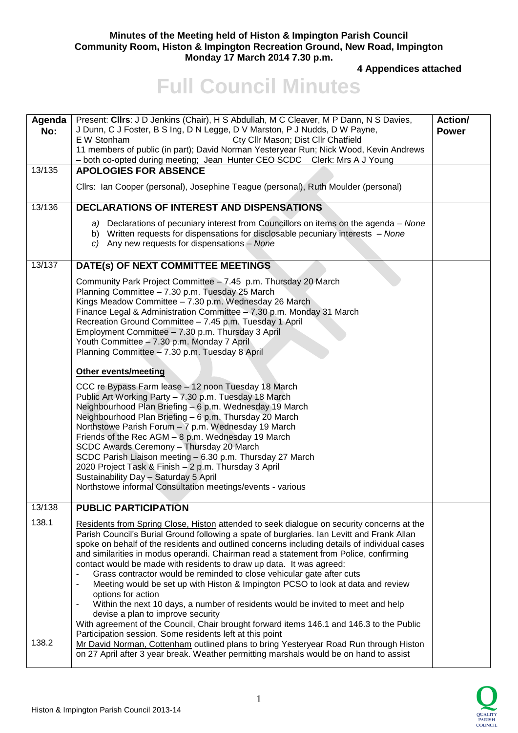## **Minutes of the Meeting held of Histon & Impington Parish Council Community Room, Histon & Impington Recreation Ground, New Road, Impington Monday 17 March 2014 7.30 p.m.**

**4 Appendices attached** 

## **Full Council Minutes**

| Agenda<br>No:  | Present: Clirs: J D Jenkins (Chair), H S Abdullah, M C Cleaver, M P Dann, N S Davies,<br>J Dunn, C J Foster, B S Ing, D N Legge, D V Marston, P J Nudds, D W Payne,<br>E W Stonham<br>Cty Cllr Mason; Dist Cllr Chatfield<br>11 members of public (in part); David Norman Yesteryear Run; Nick Wood, Kevin Andrews<br>- both co-opted during meeting; Jean Hunter CEO SCDC Clerk: Mrs A J Young                                                                                                                                                                                                                                                                                                                                                                                                                                                                                                                                                                                                                                                                                                                                                                                              | <b>Action/</b><br><b>Power</b> |
|----------------|----------------------------------------------------------------------------------------------------------------------------------------------------------------------------------------------------------------------------------------------------------------------------------------------------------------------------------------------------------------------------------------------------------------------------------------------------------------------------------------------------------------------------------------------------------------------------------------------------------------------------------------------------------------------------------------------------------------------------------------------------------------------------------------------------------------------------------------------------------------------------------------------------------------------------------------------------------------------------------------------------------------------------------------------------------------------------------------------------------------------------------------------------------------------------------------------|--------------------------------|
| 13/135         | <b>APOLOGIES FOR ABSENCE</b>                                                                                                                                                                                                                                                                                                                                                                                                                                                                                                                                                                                                                                                                                                                                                                                                                                                                                                                                                                                                                                                                                                                                                                 |                                |
|                | Cllrs: Ian Cooper (personal), Josephine Teague (personal), Ruth Moulder (personal)                                                                                                                                                                                                                                                                                                                                                                                                                                                                                                                                                                                                                                                                                                                                                                                                                                                                                                                                                                                                                                                                                                           |                                |
| 13/136         | <b>DECLARATIONS OF INTEREST AND DISPENSATIONS</b>                                                                                                                                                                                                                                                                                                                                                                                                                                                                                                                                                                                                                                                                                                                                                                                                                                                                                                                                                                                                                                                                                                                                            |                                |
|                | a) Declarations of pecuniary interest from Councillors on items on the agenda – None<br>b) Written requests for dispensations for disclosable pecuniary interests - None<br>c) Any new requests for dispensations - None                                                                                                                                                                                                                                                                                                                                                                                                                                                                                                                                                                                                                                                                                                                                                                                                                                                                                                                                                                     |                                |
| 13/137         | DATE(s) OF NEXT COMMITTEE MEETINGS                                                                                                                                                                                                                                                                                                                                                                                                                                                                                                                                                                                                                                                                                                                                                                                                                                                                                                                                                                                                                                                                                                                                                           |                                |
|                | Community Park Project Committee - 7.45 p.m. Thursday 20 March<br>Planning Committee - 7.30 p.m. Tuesday 25 March<br>Kings Meadow Committee - 7.30 p.m. Wednesday 26 March<br>Finance Legal & Administration Committee - 7.30 p.m. Monday 31 March<br>Recreation Ground Committee - 7.45 p.m. Tuesday 1 April<br>Employment Committee - 7.30 p.m. Thursday 3 April<br>Youth Committee - 7.30 p.m. Monday 7 April<br>Planning Committee - 7.30 p.m. Tuesday 8 April                                                                                                                                                                                                                                                                                                                                                                                                                                                                                                                                                                                                                                                                                                                           |                                |
|                | Other events/meeting                                                                                                                                                                                                                                                                                                                                                                                                                                                                                                                                                                                                                                                                                                                                                                                                                                                                                                                                                                                                                                                                                                                                                                         |                                |
|                | CCC re Bypass Farm lease - 12 noon Tuesday 18 March<br>Public Art Working Party - 7.30 p.m. Tuesday 18 March<br>Neighbourhood Plan Briefing - 6 p.m. Wednesday 19 March<br>Neighbourhood Plan Briefing - 6 p.m. Thursday 20 March<br>Northstowe Parish Forum - 7 p.m. Wednesday 19 March<br>Friends of the Rec AGM - 8 p.m. Wednesday 19 March<br>SCDC Awards Ceremony - Thursday 20 March<br>SCDC Parish Liaison meeting - 6.30 p.m. Thursday 27 March<br>2020 Project Task & Finish - 2 p.m. Thursday 3 April<br>Sustainability Day - Saturday 5 April<br>Northstowe informal Consultation meetings/events - various                                                                                                                                                                                                                                                                                                                                                                                                                                                                                                                                                                       |                                |
| 13/138         | <b>PUBLIC PARTICIPATION</b>                                                                                                                                                                                                                                                                                                                                                                                                                                                                                                                                                                                                                                                                                                                                                                                                                                                                                                                                                                                                                                                                                                                                                                  |                                |
| 138.1<br>138.2 | Residents from Spring Close, Histon attended to seek dialogue on security concerns at the<br>Parish Council's Burial Ground following a spate of burglaries. Ian Levitt and Frank Allan<br>spoke on behalf of the residents and outlined concerns including details of individual cases<br>and similarities in modus operandi. Chairman read a statement from Police, confirming<br>contact would be made with residents to draw up data. It was agreed:<br>Grass contractor would be reminded to close vehicular gate after cuts<br>$\overline{\phantom{a}}$<br>Meeting would be set up with Histon & Impington PCSO to look at data and review<br>$\blacksquare$<br>options for action<br>Within the next 10 days, a number of residents would be invited to meet and help<br>$\qquad \qquad \blacksquare$<br>devise a plan to improve security<br>With agreement of the Council, Chair brought forward items 146.1 and 146.3 to the Public<br>Participation session. Some residents left at this point<br>Mr David Norman, Cottenham outlined plans to bring Yesteryear Road Run through Histon<br>on 27 April after 3 year break. Weather permitting marshals would be on hand to assist |                                |
|                |                                                                                                                                                                                                                                                                                                                                                                                                                                                                                                                                                                                                                                                                                                                                                                                                                                                                                                                                                                                                                                                                                                                                                                                              |                                |

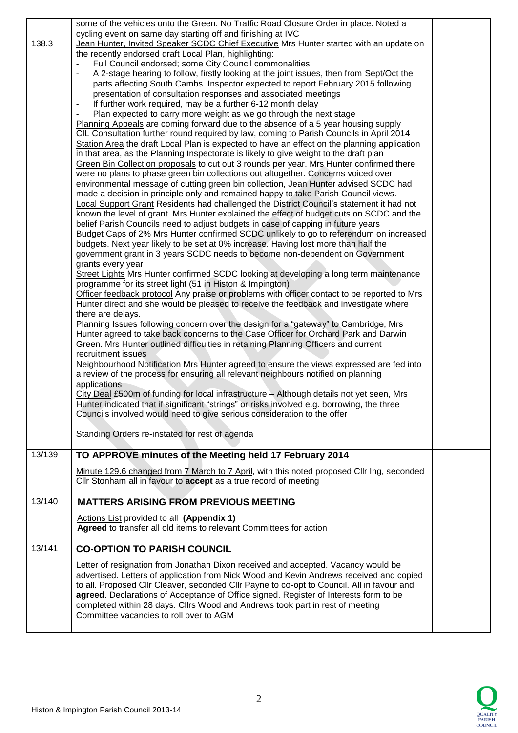| 138.3  | some of the vehicles onto the Green. No Traffic Road Closure Order in place. Noted a<br>cycling event on same day starting off and finishing at IVC<br>Jean Hunter, Invited Speaker SCDC Chief Executive Mrs Hunter started with an update on<br>the recently endorsed draft Local Plan, highlighting:<br>Full Council endorsed; some City Council commonalities<br>A 2-stage hearing to follow, firstly looking at the joint issues, then from Sept/Oct the<br>parts affecting South Cambs. Inspector expected to report February 2015 following<br>presentation of consultation responses and associated meetings<br>If further work required, may be a further 6-12 month delay<br>$\blacksquare$<br>Plan expected to carry more weight as we go through the next stage<br>Planning Appeals are coming forward due to the absence of a 5 year housing supply<br>CIL Consultation further round required by law, coming to Parish Councils in April 2014<br>Station Area the draft Local Plan is expected to have an effect on the planning application<br>in that area, as the Planning Inspectorate is likely to give weight to the draft plan<br>Green Bin Collection proposals to cut out 3 rounds per year. Mrs Hunter confirmed there<br>were no plans to phase green bin collections out altogether. Concerns voiced over<br>environmental message of cutting green bin collection, Jean Hunter advised SCDC had<br>made a decision in principle only and remained happy to take Parish Council views.<br><b>Local Support Grant Residents had challenged the District Council's statement it had not</b><br>known the level of grant. Mrs Hunter explained the effect of budget cuts on SCDC and the<br>belief Parish Councils need to adjust budgets in case of capping in future years<br>Budget Caps of 2% Mrs Hunter confirmed SCDC unlikely to go to referendum on increased<br>budgets. Next year likely to be set at 0% increase. Having lost more than half the<br>government grant in 3 years SCDC needs to become non-dependent on Government<br>grants every year<br>Street Lights Mrs Hunter confirmed SCDC looking at developing a long term maintenance<br>programme for its street light (51 in Histon & Impington)<br>Officer feedback protocol Any praise or problems with officer contact to be reported to Mrs<br>Hunter direct and she would be pleased to receive the feedback and investigate where<br>there are delays.<br>Planning Issues following concern over the design for a "gateway" to Cambridge, Mrs<br>Hunter agreed to take back concerns to the Case Officer for Orchard Park and Darwin<br>Green. Mrs Hunter outlined difficulties in retaining Planning Officers and current<br>recruitment issues<br>Neighbourhood Notification Mrs Hunter agreed to ensure the views expressed are fed into<br>a review of the process for ensuring all relevant neighbours notified on planning<br>applications<br>City Deal £500m of funding for local infrastructure - Although details not yet seen, Mrs<br>Hunter indicated that if significant "strings" or risks involved e.g. borrowing, the three<br>Councils involved would need to give serious consideration to the offer<br>Standing Orders re-instated for rest of agenda |  |
|--------|---------------------------------------------------------------------------------------------------------------------------------------------------------------------------------------------------------------------------------------------------------------------------------------------------------------------------------------------------------------------------------------------------------------------------------------------------------------------------------------------------------------------------------------------------------------------------------------------------------------------------------------------------------------------------------------------------------------------------------------------------------------------------------------------------------------------------------------------------------------------------------------------------------------------------------------------------------------------------------------------------------------------------------------------------------------------------------------------------------------------------------------------------------------------------------------------------------------------------------------------------------------------------------------------------------------------------------------------------------------------------------------------------------------------------------------------------------------------------------------------------------------------------------------------------------------------------------------------------------------------------------------------------------------------------------------------------------------------------------------------------------------------------------------------------------------------------------------------------------------------------------------------------------------------------------------------------------------------------------------------------------------------------------------------------------------------------------------------------------------------------------------------------------------------------------------------------------------------------------------------------------------------------------------------------------------------------------------------------------------------------------------------------------------------------------------------------------------------------------------------------------------------------------------------------------------------------------------------------------------------------------------------------------------------------------------------------------------------------------------------------------------------------------------------------------------------------------------------------------------------------------------------------------------------------------------------------------------------------------------------------------------------------------------------------------------------------------------------------------------------------------------------------------------------------------------------------------------------------------------------------------------------------|--|
| 13/139 | TO APPROVE minutes of the Meeting held 17 February 2014                                                                                                                                                                                                                                                                                                                                                                                                                                                                                                                                                                                                                                                                                                                                                                                                                                                                                                                                                                                                                                                                                                                                                                                                                                                                                                                                                                                                                                                                                                                                                                                                                                                                                                                                                                                                                                                                                                                                                                                                                                                                                                                                                                                                                                                                                                                                                                                                                                                                                                                                                                                                                                                                                                                                                                                                                                                                                                                                                                                                                                                                                                                                                                                                                   |  |
|        | Minute 129.6 changed from 7 March to 7 April, with this noted proposed Cllr Ing, seconded<br>Cllr Stonham all in favour to accept as a true record of meeting                                                                                                                                                                                                                                                                                                                                                                                                                                                                                                                                                                                                                                                                                                                                                                                                                                                                                                                                                                                                                                                                                                                                                                                                                                                                                                                                                                                                                                                                                                                                                                                                                                                                                                                                                                                                                                                                                                                                                                                                                                                                                                                                                                                                                                                                                                                                                                                                                                                                                                                                                                                                                                                                                                                                                                                                                                                                                                                                                                                                                                                                                                             |  |
| 13/140 | <b>MATTERS ARISING FROM PREVIOUS MEETING</b>                                                                                                                                                                                                                                                                                                                                                                                                                                                                                                                                                                                                                                                                                                                                                                                                                                                                                                                                                                                                                                                                                                                                                                                                                                                                                                                                                                                                                                                                                                                                                                                                                                                                                                                                                                                                                                                                                                                                                                                                                                                                                                                                                                                                                                                                                                                                                                                                                                                                                                                                                                                                                                                                                                                                                                                                                                                                                                                                                                                                                                                                                                                                                                                                                              |  |
|        | Actions List provided to all (Appendix 1)<br>Agreed to transfer all old items to relevant Committees for action                                                                                                                                                                                                                                                                                                                                                                                                                                                                                                                                                                                                                                                                                                                                                                                                                                                                                                                                                                                                                                                                                                                                                                                                                                                                                                                                                                                                                                                                                                                                                                                                                                                                                                                                                                                                                                                                                                                                                                                                                                                                                                                                                                                                                                                                                                                                                                                                                                                                                                                                                                                                                                                                                                                                                                                                                                                                                                                                                                                                                                                                                                                                                           |  |
| 13/141 | <b>CO-OPTION TO PARISH COUNCIL</b>                                                                                                                                                                                                                                                                                                                                                                                                                                                                                                                                                                                                                                                                                                                                                                                                                                                                                                                                                                                                                                                                                                                                                                                                                                                                                                                                                                                                                                                                                                                                                                                                                                                                                                                                                                                                                                                                                                                                                                                                                                                                                                                                                                                                                                                                                                                                                                                                                                                                                                                                                                                                                                                                                                                                                                                                                                                                                                                                                                                                                                                                                                                                                                                                                                        |  |
|        | Letter of resignation from Jonathan Dixon received and accepted. Vacancy would be<br>advertised. Letters of application from Nick Wood and Kevin Andrews received and copied<br>to all. Proposed Cllr Cleaver, seconded Cllr Payne to co-opt to Council. All in favour and<br>agreed. Declarations of Acceptance of Office signed. Register of Interests form to be<br>completed within 28 days. Cllrs Wood and Andrews took part in rest of meeting<br>Committee vacancies to roll over to AGM                                                                                                                                                                                                                                                                                                                                                                                                                                                                                                                                                                                                                                                                                                                                                                                                                                                                                                                                                                                                                                                                                                                                                                                                                                                                                                                                                                                                                                                                                                                                                                                                                                                                                                                                                                                                                                                                                                                                                                                                                                                                                                                                                                                                                                                                                                                                                                                                                                                                                                                                                                                                                                                                                                                                                                           |  |

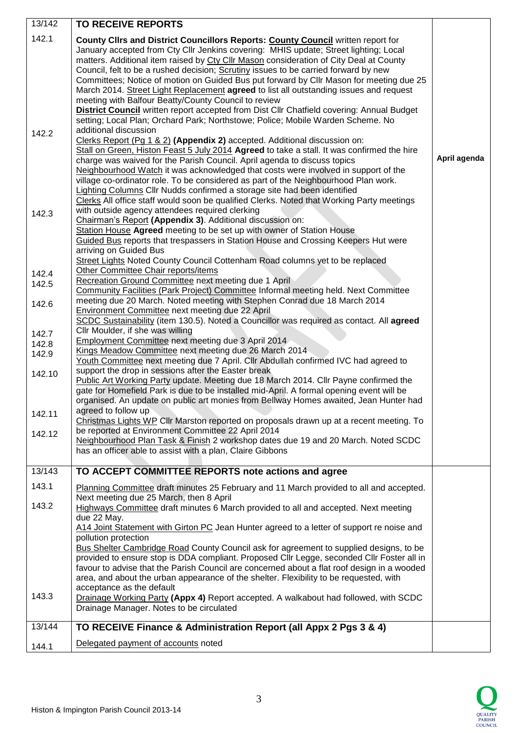| 13/142 | <b>TO RECEIVE REPORTS</b>                                                                                                                                              |              |
|--------|------------------------------------------------------------------------------------------------------------------------------------------------------------------------|--------------|
|        |                                                                                                                                                                        |              |
| 142.1  | County Clirs and District Councillors Reports: County Council written report for                                                                                       |              |
|        | January accepted from Cty Cllr Jenkins covering: MHIS update; Street lighting; Local                                                                                   |              |
|        | matters. Additional item raised by Cty Cllr Mason consideration of City Deal at County                                                                                 |              |
|        | Council, felt to be a rushed decision; Scrutiny issues to be carried forward by new                                                                                    |              |
|        | Committees; Notice of motion on Guided Bus put forward by Cllr Mason for meeting due 25                                                                                |              |
|        | March 2014. Street Light Replacement agreed to list all outstanding issues and request                                                                                 |              |
|        | meeting with Balfour Beatty/County Council to review                                                                                                                   |              |
|        | District Council written report accepted from Dist Cllr Chatfield covering: Annual Budget                                                                              |              |
|        | setting; Local Plan; Orchard Park; Northstowe; Police; Mobile Warden Scheme. No                                                                                        |              |
| 142.2  | additional discussion                                                                                                                                                  |              |
|        | Clerks Report (Pg 1 & 2) (Appendix 2) accepted. Additional discussion on:                                                                                              |              |
|        | Stall on Green, Histon Feast 5 July 2014 Agreed to take a stall. It was confirmed the hire<br>charge was waived for the Parish Council. April agenda to discuss topics | April agenda |
|        | Neighbourhood Watch it was acknowledged that costs were involved in support of the                                                                                     |              |
|        | village co-ordinator role. To be considered as part of the Neighbourhood Plan work.                                                                                    |              |
|        | <b>Lighting Columns Cllr Nudds confirmed a storage site had been identified</b>                                                                                        |              |
|        | Clerks All office staff would soon be qualified Clerks. Noted that Working Party meetings                                                                              |              |
|        | with outside agency attendees required clerking                                                                                                                        |              |
| 142.3  | Chairman's Report (Appendix 3). Additional discussion on:                                                                                                              |              |
|        | Station House Agreed meeting to be set up with owner of Station House                                                                                                  |              |
|        | Guided Bus reports that trespassers in Station House and Crossing Keepers Hut were                                                                                     |              |
|        | arriving on Guided Bus                                                                                                                                                 |              |
|        | Street Lights Noted County Council Cottenham Road columns yet to be replaced                                                                                           |              |
| 142.4  | Other Committee Chair reports/items                                                                                                                                    |              |
| 142.5  | Recreation Ground Committee next meeting due 1 April                                                                                                                   |              |
|        | Community Facilities (Park Project) Committee Informal meeting held. Next Committee                                                                                    |              |
| 142.6  | meeting due 20 March. Noted meeting with Stephen Conrad due 18 March 2014                                                                                              |              |
|        | Environment Committee next meeting due 22 April                                                                                                                        |              |
|        | SCDC Sustainability (item 130.5). Noted a Councillor was required as contact. All agreed                                                                               |              |
| 142.7  | Cllr Moulder, if she was willing                                                                                                                                       |              |
| 142.8  | Employment Committee next meeting due 3 April 2014                                                                                                                     |              |
| 142.9  | Kings Meadow Committee next meeting due 26 March 2014                                                                                                                  |              |
|        | Youth Committee next meeting due 7 April. Cllr Abdullah confirmed IVC had agreed to                                                                                    |              |
| 142.10 | support the drop in sessions after the Easter break<br>Public Art Working Party update. Meeting due 18 March 2014. Cllr Payne confirmed the                            |              |
|        | gate for Homefield Park is due to be installed mid-April. A formal opening event will be                                                                               |              |
|        | organised. An update on public art monies from Bellway Homes awaited, Jean Hunter had                                                                                  |              |
|        | agreed to follow up                                                                                                                                                    |              |
| 142.11 | Christmas Lights WP Cllr Marston reported on proposals drawn up at a recent meeting. To                                                                                |              |
| 142.12 | be reported at Environment Committee 22 April 2014                                                                                                                     |              |
|        | Neighbourhood Plan Task & Finish 2 workshop dates due 19 and 20 March. Noted SCDC                                                                                      |              |
|        | has an officer able to assist with a plan, Claire Gibbons                                                                                                              |              |
|        |                                                                                                                                                                        |              |
| 13/143 | TO ACCEPT COMMITTEE REPORTS note actions and agree                                                                                                                     |              |
| 143.1  | Planning Committee draft minutes 25 February and 11 March provided to all and accepted.                                                                                |              |
|        | Next meeting due 25 March, then 8 April                                                                                                                                |              |
| 143.2  | Highways Committee draft minutes 6 March provided to all and accepted. Next meeting                                                                                    |              |
|        | due 22 May.                                                                                                                                                            |              |
|        | A14 Joint Statement with Girton PC Jean Hunter agreed to a letter of support re noise and                                                                              |              |
|        | pollution protection                                                                                                                                                   |              |
|        | Bus Shelter Cambridge Road County Council ask for agreement to supplied designs, to be                                                                                 |              |
|        | provided to ensure stop is DDA compliant. Proposed Cllr Legge, seconded Cllr Foster all in                                                                             |              |
|        | favour to advise that the Parish Council are concerned about a flat roof design in a wooded                                                                            |              |
|        | area, and about the urban appearance of the shelter. Flexibility to be requested, with                                                                                 |              |
|        | acceptance as the default                                                                                                                                              |              |
| 143.3  | Drainage Working Party (Appx 4) Report accepted. A walkabout had followed, with SCDC                                                                                   |              |
|        | Drainage Manager. Notes to be circulated                                                                                                                               |              |
| 13/144 | TO RECEIVE Finance & Administration Report (all Appx 2 Pgs 3 & 4)                                                                                                      |              |
|        |                                                                                                                                                                        |              |
| 144.1  | Delegated payment of accounts noted                                                                                                                                    |              |